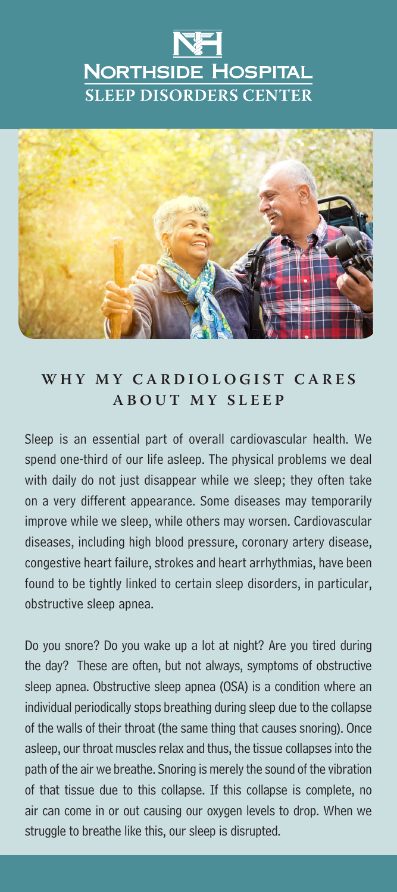## **NORTHSIDE HOSPITAL SLEEP DISORDERS CENTER**



## WHY MY CARDIOLOGIST CARES **ABOUT MY SLEEP**

Sleep is an essential part of overall cardiovascular health. We spend one-third of our life asleep. The physical problems we deal with daily do not just disappear while we sleep; they often take on a very different appearance. Some diseases may temporarily improve while we sleep, while others may worsen. Cardiovascular diseases, including high blood pressure, coronary artery disease, congestive heart failure, strokes and heart arrhythmias, have been found to be tightly linked to certain sleep disorders, in particular, obstructive sleep apnea.

Do you snore? Do you wake up a lot at night? Are you tired during the day? These are often, but not always, symptoms of obstructive sleep apnea. Obstructive sleep apnea (OSA) is a condition where an individual periodically stops breathing during sleep due to the collapse of the walls of their throat (the same thing that causes snoring). Once asleep, our throat muscles relax and thus, the tissue collapses into the path of the air we breathe. Snoring is merely the sound of the vibration of that tissue due to this collapse. If this collapse is complete, no air can come in or out causing our oxygen levels to drop. When we struggle to breathe like this, our sleep is disrupted.